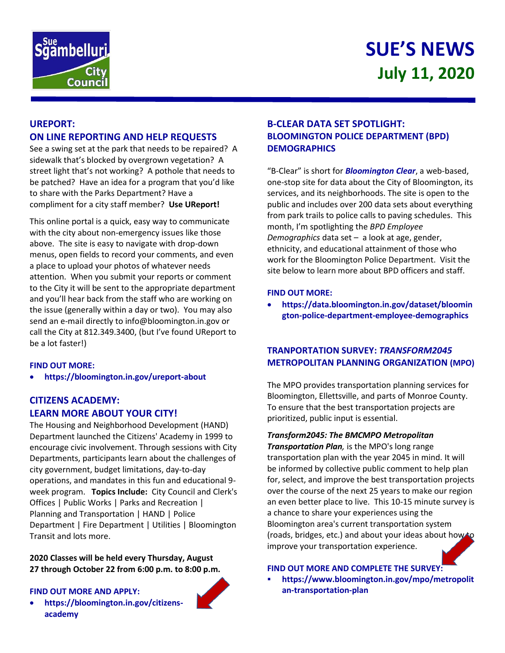



# **UREPORT: ON LINE REPORTING AND HELP REQUESTS**

See a swing set at the park that needs to be repaired? A sidewalk that's blocked by overgrown vegetation? A street light that's not working? A pothole that needs to be patched? Have an idea for a program that you'd like to share with the Parks Department? Have a compliment for a city staff member? **Use UReport!**

This online portal is a quick, easy way to communicate with the city about non-emergency issues like those above. The site is easy to navigate with drop-down menus, open fields to record your comments, and even a place to upload your photos of whatever needs attention. When you submit your reports or comment to the City it will be sent to the appropriate department and you'll hear back from the staff who are working on the issue (generally within a day or two). You may also send an e-mail directly to info@bloomington.in.gov or call the City at 812.349.3400, (but I've found UReport to be a lot faster!)

### **FIND OUT MORE:**

**<https://bloomington.in.gov/ureport-about>**

# **CITIZENS ACADEMY: LEARN MORE ABOUT YOUR CITY!**

The Housing and Neighborhood Development (HAND) Department launched the Citizens' Academy in 1999 to encourage civic involvement. Through sessions with City Departments, participants learn about the challenges of city government, budget limitations, day-to-day operations, and mandates in this fun and educational 9 week program. **Topics Include:** City Council and Clerk's Offices | Public Works | Parks and Recreation | Planning and Transportation | HAND | Police Department | Fire Department | Utilities | Bloomington Transit and lots more.

**2020 Classes will be held every Thursday, August 27 through October 22 from 6:00 p.m. to 8:00 p.m.**

#### **FIND OUT MORE AND APPLY:**

 **https://bloomington.in.gov/citizensacademy**



"B-Clear" is short for *Bloomington Clear*, a web-based, one-stop site for data about the City of Bloomington, its services, and its neighborhoods. The site is open to the public and includes over 200 data sets about everything from park trails to police calls to paving schedules. This month, I'm spotlighting the *BPD Employee Demographics* data set – a look at age, gender, ethnicity, and educational attainment of those who work for the Bloomington Police Department. Visit the site below to learn more about BPD officers and staff.

### **FIND OUT MORE:**

 **[https://data.bloomington.in.gov/dataset/bloomin](https://data.bloomington.in.gov/dataset/bloomington-police-department-employee-demographics) [gton-police-department-employee-demographics](https://data.bloomington.in.gov/dataset/bloomington-police-department-employee-demographics)**

## **TRANPORTATION SURVEY:** *TRANSFORM2045* **METROPOLITAN PLANNING ORGANIZATION (MPO)**

The MPO provides transportation planning services for Bloomington, Ellettsville, and parts of Monroe County. To ensure that the best transportation projects are prioritized, public input is essential.

## *Transform2045: The BMCMPO Metropolitan*

*Transportation Plan,* is the MPO's long range transportation plan with the year 2045 in mind. It will be informed by collective public comment to help plan for, select, and improve the best transportation projects over the course of the next 25 years to make our region an even better place to live. This 10-15 minute survey is a chance to share your experiences using the Bloomington area's current transportation system (roads, bridges, etc.) and about your ideas about how to improve your transportation experience.

### **FIND OUT MORE AND COMPLETE THE SURVEY:**

 **https://www.bloomington.in.gov/mpo/metropolit an-transportation-plan**